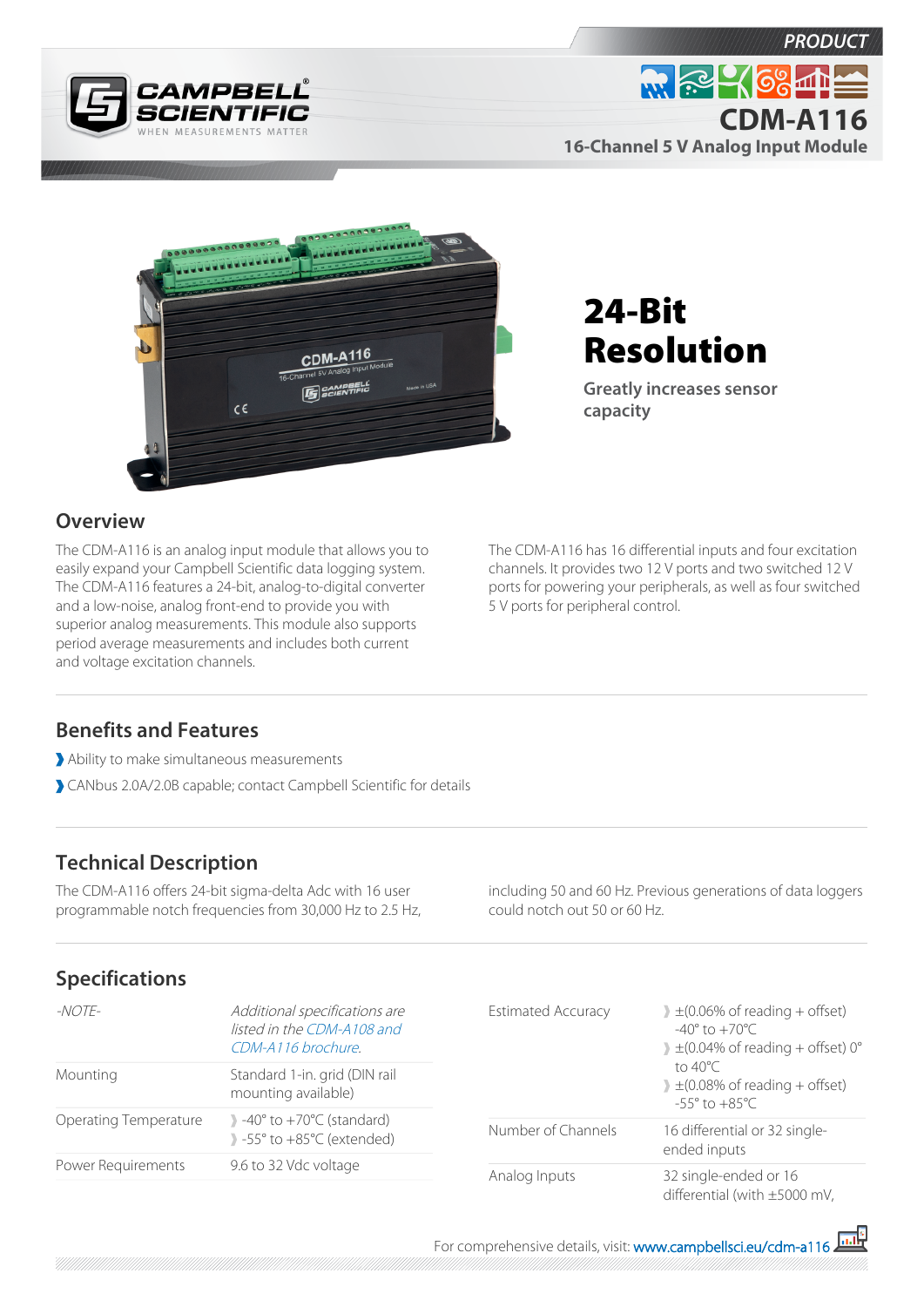





# 24-Bit Resolution

**Greatly increases sensor capacity**

#### **Overview**

The CDM-A116 is an analog input module that allows you to easily expand your Campbell Scientific data logging system. The CDM-A116 features a 24-bit, analog-to-digital converter and a low-noise, analog front-end to provide you with superior analog measurements. This module also supports period average measurements and includes both current and voltage excitation channels.

The CDM-A116 has 16 differential inputs and four excitation channels. It provides two 12 V ports and two switched 12 V ports for powering your peripherals, as well as four switched 5 V ports for peripheral control.

### **Benefits and Features**

- Ability to make simultaneous measurements
- CANbus 2.0A/2.0B capable; contact Campbell Scientific for details

## **Technical Description**

The CDM-A116 offers 24-bit sigma-delta Adc with 16 user programmable notch frequencies from 30,000 Hz to 2.5 Hz, including 50 and 60 Hz. Previous generations of data loggers could notch out 50 or 60 Hz.

### **Specifications**

| -NOTE-                | Additional specifications are<br>listed in the CDM-A108 and<br>CDM-A116 brochure                                       |
|-----------------------|------------------------------------------------------------------------------------------------------------------------|
| Mounting              | Standard 1-in. grid (DIN rail<br>mounting available)                                                                   |
| Operating Temperature | $\rightarrow$ -40 $\degree$ to +70 $\degree$ C (standard)<br>$\rightarrow$ -55 $\degree$ to +85 $\degree$ C (extended) |
| Power Requirements    | 9.6 to 32 Vdc voltage                                                                                                  |

| <b>Estimated Accuracy</b> | $\pm$ (0.06% of reading + offset)<br>$-40^{\circ}$ to $+70^{\circ}$ C.<br>$\pm$ (0.04% of reading + offset) 0°<br>to $40^{\circ}$ C<br>$\pm$ (0.08% of reading + offset)<br>$-55^{\circ}$ to $+85^{\circ}$ C |
|---------------------------|--------------------------------------------------------------------------------------------------------------------------------------------------------------------------------------------------------------|
| Number of Channels        | 16 differential or 32 single-<br>ended inputs                                                                                                                                                                |
| Analog Inputs             | 32 single-ended or 16<br>differential (with $\pm 5000$ mV,                                                                                                                                                   |